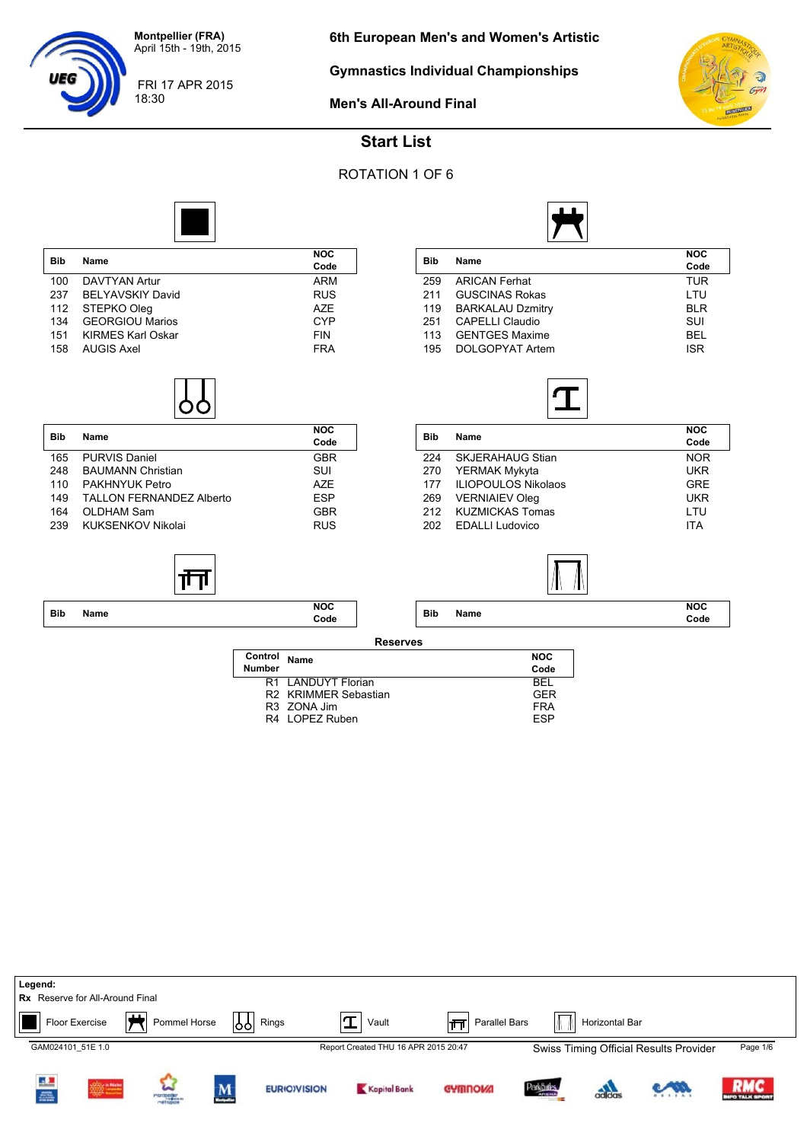18:30

**Gymnastics Individual Championships**



FRI 17 APR 2015



**Men's All-Around Final**

# **Start List**

## ROTATION 1 OF 6



| <b>Bib</b> | Name                     | <b>NOC</b> |
|------------|--------------------------|------------|
|            |                          | Code       |
| 100        | DAVTYAN Artur            | ARM        |
| 237        | <b>BELYAVSKIY David</b>  | <b>RUS</b> |
| 112        | STEPKO Oleg              | A7F        |
| 134        | <b>GEORGIOU Marios</b>   | <b>CYP</b> |
| 151        | <b>KIRMES Karl Oskar</b> | <b>FIN</b> |
| 158        | <b>AUGIS Axel</b>        | <b>FRA</b> |
|            |                          |            |

| <b>Bib</b> | Name                     | <b>NOC</b><br>Code |  |  |
|------------|--------------------------|--------------------|--|--|
| 165        | PURVIS Daniel            | <b>GBR</b>         |  |  |
| 248        | <b>BAUMANN Christian</b> | SUI                |  |  |
| 110        | PAKHNYUK Petro           | A7F                |  |  |
| 149        | TALLON FERNANDEZ Alberto | <b>ESP</b>         |  |  |
| 164        | OLDHAM Sam               | GBR                |  |  |
| 239        | KUKSENKOV Nikolai        | <b>RUS</b>         |  |  |

| Bib | Name                    | <b>NOC</b><br>Code |
|-----|-------------------------|--------------------|
| 259 | <b>ARICAN Ferhat</b>    | <b>TUR</b>         |
| 211 | <b>GUSCINAS Rokas</b>   | LTU                |
| 119 | <b>BARKALAU Dzmitry</b> | <b>BLR</b>         |
| 251 | <b>CAPELLI Claudio</b>  | SUI                |
| 113 | <b>GENTGES Maxime</b>   | <b>BEL</b>         |
| 195 | DOLGOPYAT Artem         | <b>ISR</b>         |
|     |                         |                    |



| <b>Bib</b> | Name                       | <b>NOC</b><br>Code |
|------------|----------------------------|--------------------|
| 224        | <b>SKJERAHAUG Stian</b>    | <b>NOR</b>         |
| 270        | YERMAK Mykyta              | <b>UKR</b>         |
| 177        | <b>ILIOPOULOS Nikolaos</b> | <b>GRE</b>         |
| 269        | <b>VERNIAIEV Oleg</b>      | <b>UKR</b>         |
| 212        | <b>KUZMICKAS Tomas</b>     | LTU                |
| 202        | <b>EDALLI Ludovico</b>     | <b>ITA</b>         |
|            |                            |                    |



**NOC**

|            |      | Ш<br>-11           |                 |            |      | 1 L |             |
|------------|------|--------------------|-----------------|------------|------|-----|-------------|
| <b>Bib</b> | Name | <b>NOC</b><br>Code |                 | <b>Bib</b> | Name |     | NOC<br>Code |
|            |      |                    | <b>Reserves</b> |            |      |     |             |

| . |  |
|---|--|
|   |  |
|   |  |
|   |  |
|   |  |
|   |  |

| Control<br><b>Number</b> | <b>Name</b>          | <b>NOC</b><br>Code |
|--------------------------|----------------------|--------------------|
|                          | R1 LANDUYT Florian   | RFI.               |
|                          | R2 KRIMMER Sebastian | GFR                |
|                          | R3 ZONA Jim          | <b>FRA</b>         |
|                          | R4 LOPEZ Ruben       | <b>FSP</b>         |
|                          |                      |                    |

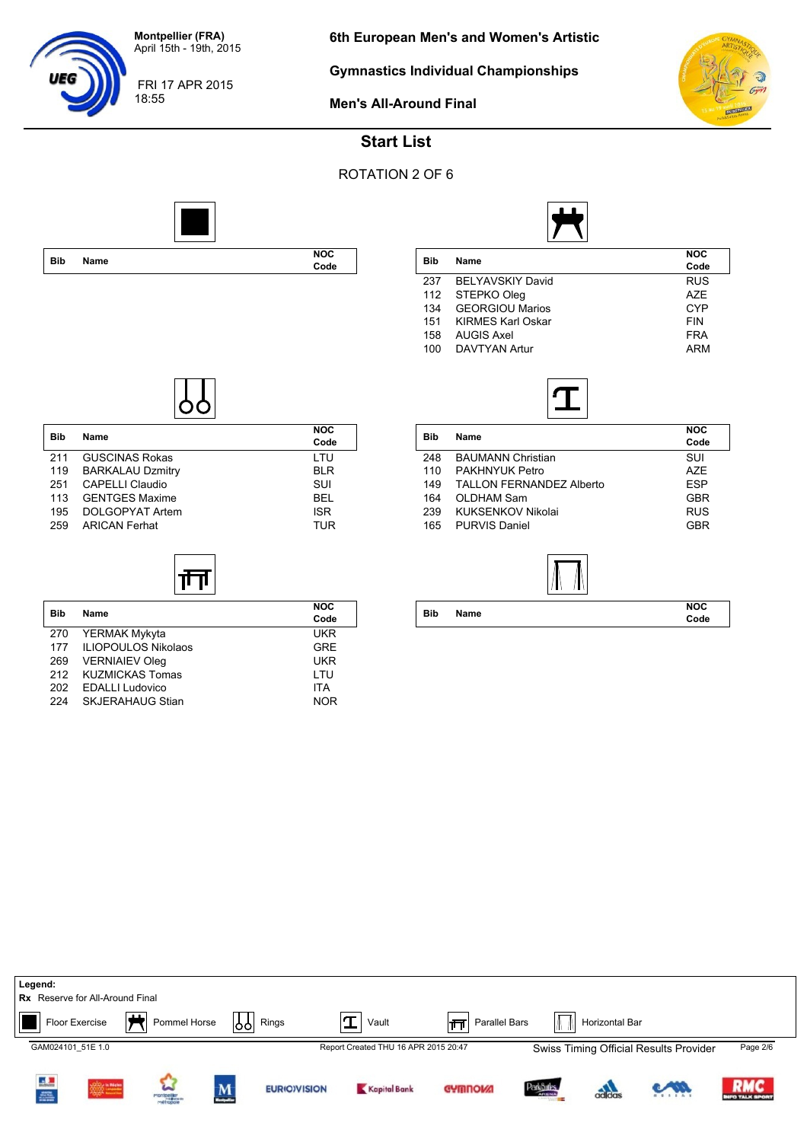FRI 17 APR 2015

18:55

**6th European Men's and Women's Artistic**

**Gymnastics Individual Championships**



**Men's All-Around Final**



## **Start List**

ROTATION 2 OF 6

┑





| NOC.<br>Code | <b>Bib</b> | Name                     | <b>NOC</b><br>Code |
|--------------|------------|--------------------------|--------------------|
|              | 237        | <b>BELYAVSKIY David</b>  | <b>RUS</b>         |
|              | 112        | STEPKO Oleg              | <b>AZE</b>         |
|              | 134        | <b>GEORGIOU Marios</b>   | <b>CYP</b>         |
|              | 151        | <b>KIRMES Karl Oskar</b> | <b>FIN</b>         |
|              | 158        | <b>AUGIS Axel</b>        | <b>FRA</b>         |
|              | 100        | DAVTYAN Artur            | <b>ARM</b>         |
|              |            |                          |                    |



| <b>Bib</b> | <b>Name</b>                     | <b>NOC</b><br>Code |
|------------|---------------------------------|--------------------|
| 248        | <b>BAUMANN Christian</b>        | SUI                |
| 110        | PAKHNYUK Petro                  | A7F                |
| 149        | <b>TALLON FERNANDEZ Alberto</b> | <b>ESP</b>         |
| 164        | OLDHAM Sam                      | <b>GBR</b>         |
| 239        | KUKSENKOV Nikolai               | <b>RUS</b>         |
| 165        | <b>PURVIS Daniel</b>            | <b>GBR</b>         |
|            |                                 |                    |



| <b>Bib</b> | Name | <b>NOC</b><br>Code |
|------------|------|--------------------|
|            |      |                    |

| <b>Bib</b> | Name                    | NOC        |
|------------|-------------------------|------------|
|            |                         | Code       |
| 211        | <b>GUSCINAS Rokas</b>   | LTU        |
| 119        | <b>BARKALAU Dzmitry</b> | <b>BLR</b> |
| 251        | CAPELLI Claudio         | SUI        |
| 113        | <b>GENTGES Maxime</b>   | <b>BEL</b> |
| 195        | DOLGOPYAT Artem         | <b>ISR</b> |
| 259        | <b>ARICAN Ferhat</b>    | <b>TUR</b> |
|            |                         |            |

| <b>Bib</b> | Name                       | <b>NOC</b><br>Code |
|------------|----------------------------|--------------------|
| 270        | YERMAK Mykyta              | <b>UKR</b>         |
| 177        | <b>ILIOPOULOS Nikolaos</b> | <b>GRE</b>         |
| 269        | <b>VERNIAIEV Oleg</b>      | <b>UKR</b>         |
| 212        | <b>KUZMICKAS Tomas</b>     | LTU                |
| 202        | <b>EDALLI Ludovico</b>     | <b>ITA</b>         |
| 224        | <b>SKJERAHAUG Stian</b>    | <b>NOR</b>         |

| Legend:                                |          |                         |                          |                     |                                      |                      |            |                |                                        |                                   |
|----------------------------------------|----------|-------------------------|--------------------------|---------------------|--------------------------------------|----------------------|------------|----------------|----------------------------------------|-----------------------------------|
| <b>Rx</b> Reserve for All-Around Final |          |                         |                          |                     |                                      |                      |            |                |                                        |                                   |
| Floor Exercise                         | டிட<br>┮ | Pommel Horse            | 1991                     | Rings               | Vault                                | Parallel Bars<br>∣नन | $\sqrt{ }$ | Horizontal Bar |                                        |                                   |
| GAM024101 51E 1.0                      |          |                         |                          |                     | Report Created THU 16 APR 2015 20:47 |                      |            |                | Swiss Timing Official Results Provider | Page 2/6                          |
| Ц.<br>e.                               |          | montpeller<br>mottopoie | $\underline{\mathbf{M}}$ | <b>EURIO)VISION</b> | Kapital Bank                         | <b>GYMNOW!</b>       | ParkSules  | adidas         | com                                    | <b>RMC</b><br><b>FO TALK SPOR</b> |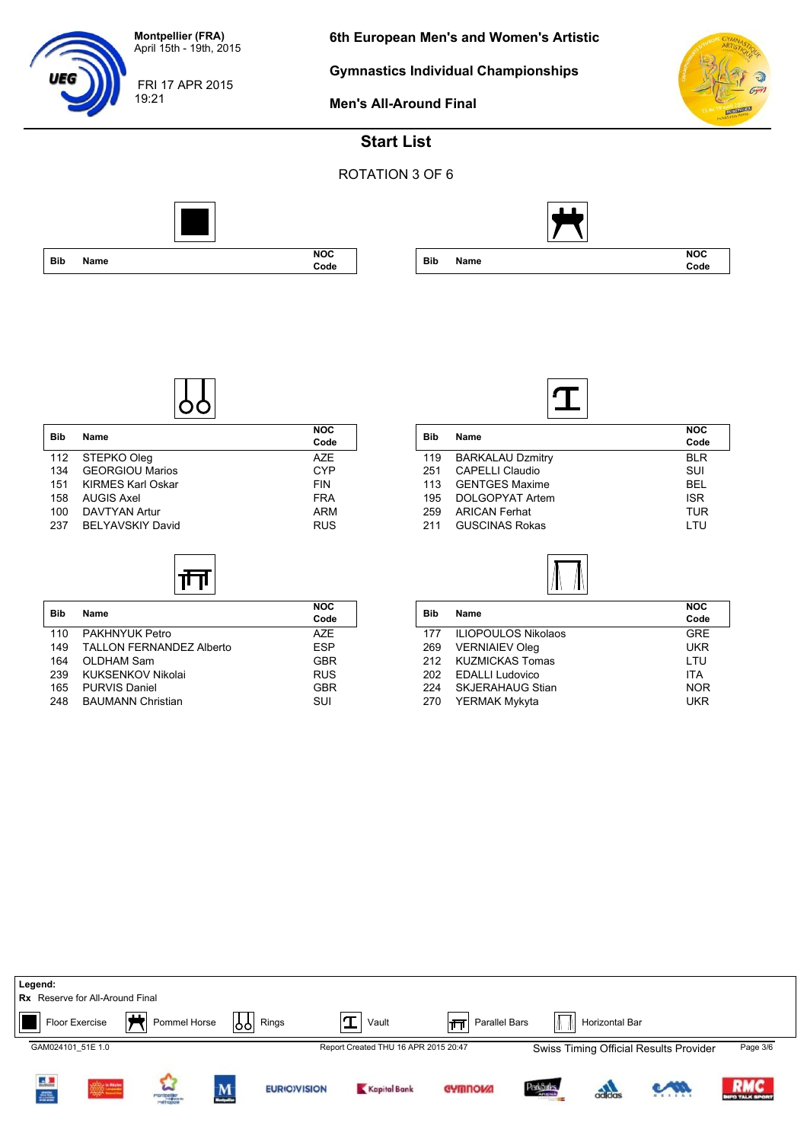FRI 17 APR 2015

19:21

UEG

**6th European Men's and Women's Artistic**

**Gymnastics Individual Championships**



**Men's All-Around Final**

## **Start List**





**Code**

|            |             | <b>NOC</b> |
|------------|-------------|------------|
| <b>Bib</b> | <b>Name</b> | Code       |
| 112        | STEPKO Olea |            |

| <b>TIZ SIEPRO URG</b> | AZE.       |
|-----------------------|------------|
| 134 GEORGIOU Marios   | CYP        |
| 151 KIRMES Karl Oskar | <b>FIN</b> |
| 158 AUGIS Axel        | <b>FRA</b> |
| 100 DAVTYAN Artur     | ARM        |
| 237 BELYAVSKIY David  | <b>RUS</b> |
|                       |            |

⅂

| <b>Bib</b> | <b>Name</b>                     | <b>NOC</b><br>Code |
|------------|---------------------------------|--------------------|
| 110        | PAKHNYUK Petro                  | A7F                |
| 149        | <b>TALLON FERNANDEZ Alberto</b> | <b>ESP</b>         |
| 164        | OLDHAM Sam                      | <b>GBR</b>         |
| 239        | KUKSENKOV Nikolai               | <b>RUS</b>         |
| 165        | <b>PURVIS Daniel</b>            | <b>GBR</b>         |
| 248        | <b>BAUMANN Christian</b>        | SUI                |

 $\sqrt{ }$ 



| Bib | Name                    | <b>NOC</b><br>Code |
|-----|-------------------------|--------------------|
| 119 | <b>BARKALAU Dzmitry</b> | BI R               |
| 251 | <b>CAPELLI Claudio</b>  | SUI                |
| 113 | <b>GENTGES Maxime</b>   | <b>BEL</b>         |
| 195 | DOLGOPYAT Artem         | <b>ISR</b>         |
| 259 | <b>ARICAN Ferhat</b>    | TUR                |
| 211 | <b>GUSCINAS Rokas</b>   | I TU               |
|     |                         |                    |

| Bib | Name                       | <b>NOC</b> |
|-----|----------------------------|------------|
|     |                            | Code       |
| 177 | <b>ILIOPOULOS Nikolaos</b> | <b>GRE</b> |
| 269 | <b>VERNIAIEV Oleg</b>      | <b>UKR</b> |
| 212 | <b>KUZMICKAS Tomas</b>     | LTU        |
| 202 | <b>EDALLI Ludovico</b>     | <b>ITA</b> |
| 224 | <b>SKJERAHAUG Stian</b>    | <b>NOR</b> |
| 270 | YERMAK Mykyta              | <b>UKR</b> |
|     |                            |            |

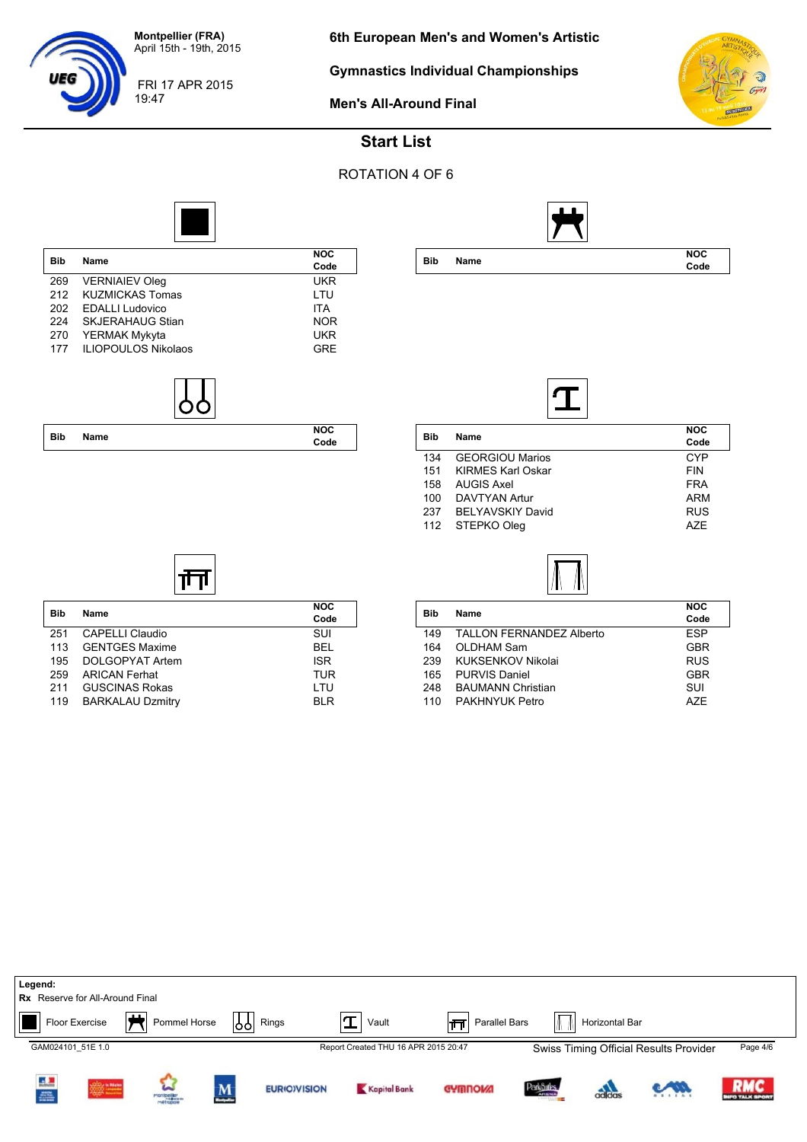FRI 17 APR 2015

19:47

**6th European Men's and Women's Artistic**

**Gymnastics Individual Championships**



**Men's All-Around Final**



**Code**

### **Start List**

#### ROTATION 4 OF 6



| <b>Name</b> | Code                                                                                                                                                |
|-------------|-----------------------------------------------------------------------------------------------------------------------------------------------------|
|             | UKR                                                                                                                                                 |
|             | LTU                                                                                                                                                 |
|             | <b>ITA</b>                                                                                                                                          |
|             | <b>NOR</b>                                                                                                                                          |
|             | <b>UKR</b>                                                                                                                                          |
|             | <b>GRE</b>                                                                                                                                          |
|             | <b>VERNIAIEV Oleg</b><br><b>KUZMICKAS Tomas</b><br><b>EDALLI Ludovico</b><br><b>SKJERAHAUG Stian</b><br>YERMAK Mykyta<br><b>ILIOPOULOS Nikolaos</b> |



**Bib Name NOC**

ग॑॑॑

251 CAPELLI Claudio SUI<br>113 GENTGES Maxime BEL

195 DOLGOPYAT Artem 195 1SR<br>1959 ARICAN Ferhat 1972 1988 259 1

211 GUSCINAS Rokas LTU 119 BARKALAU Dzmitry **BLR** 

113 GENTGES Maxime

ARICAN Ferhat

**Code**

**Bib Name NOC**

| NOC.<br>Code | <b>Bib</b> | Name                     | <b>NOC</b><br>Code |
|--------------|------------|--------------------------|--------------------|
|              | 134        | <b>GEORGIOU Marios</b>   | <b>CYP</b>         |
|              | 151        | <b>KIRMES Karl Oskar</b> | <b>FIN</b>         |
|              | 158        | <b>AUGIS Axel</b>        | <b>FRA</b>         |
|              | 100        | <b>DAVTYAN Artur</b>     | <b>ARM</b>         |
|              | 237        | BELYAVSKIY David         | <b>RUS</b>         |
|              |            | 112 STEPKO Oleg          | <b>AZE</b>         |

| Bib | Name                            | <b>NOC</b> |
|-----|---------------------------------|------------|
|     |                                 | Code       |
| 149 | <b>TALLON FERNANDEZ Alberto</b> | <b>ESP</b> |
| 164 | OLDHAM Sam                      | <b>GBR</b> |
| 239 | KUKSENKOV Nikolai               | <b>RUS</b> |
| 165 | <b>PURVIS Daniel</b>            | <b>GBR</b> |
| 248 | <b>BAUMANN Christian</b>        | SUI        |
| 110 | <b>PAKHNYUK Petro</b>           | A7F        |
|     |                                 |            |

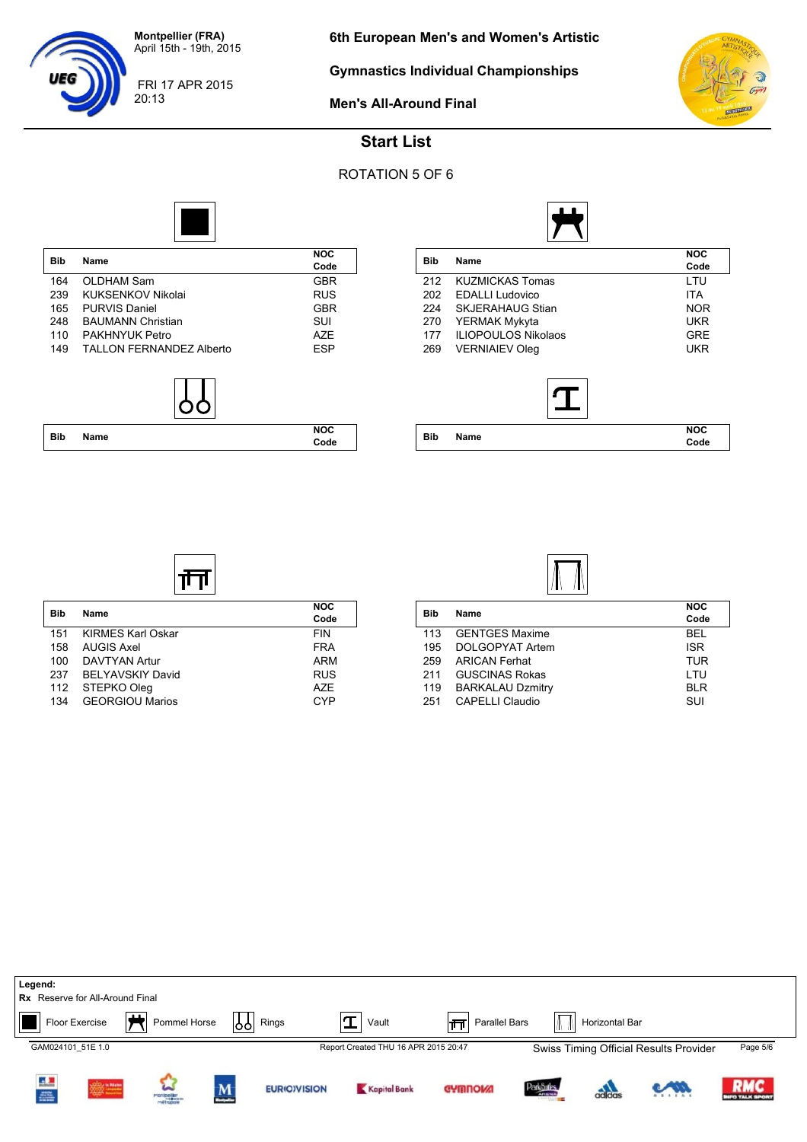FRI 17 APR 2015

20:13

UEG

**Gymnastics Individual Championships**



**Code**

**Men's All-Around Final**

# **Start List**

### ROTATION 5 OF 6



| Bib | <b>Name</b>              | <b>NOC</b><br>Code |
|-----|--------------------------|--------------------|
| 164 | OLDHAM Sam               | <b>GBR</b>         |
| 239 | KUKSENKOV Nikolai        | <b>RUS</b>         |
| 165 | <b>PURVIS Daniel</b>     | <b>GBR</b>         |
| 248 | <b>BAUMANN Christian</b> | SUI                |
| 110 | PAKHNYUK Petro           | A7F                |
| 149 | TALLON FERNANDEZ Alberto | <b>FSP</b>         |
|     |                          |                    |



**Bib Name NOC**

ग॑॑॑

151 KIRMES Karl Oskar FIN<br>158 AUGIS Axel FRA

100 DAVTYAN Artur<br>1937 BELYAVSKIY David 1988 1988 RUS

112 STEPKO Oleg AZE

AUGIS Axel

134 GEORGIOU Marios

BELYAVSKIY David

Code<br>FIN

|            | Name                       | <b>NOC</b> |  |  |
|------------|----------------------------|------------|--|--|
| <b>Bib</b> |                            | Code       |  |  |
| 212        | <b>KUZMICKAS Tomas</b>     | LTU        |  |  |
| 202        | <b>EDALLI</b> Ludovico     | ITA        |  |  |
| 224        | <b>SKJERAHAUG Stian</b>    | <b>NOR</b> |  |  |
| 270        | YERMAK Mykyta              | UKR        |  |  |
| 177        | <b>ILIOPOULOS Nikolaos</b> | <b>GRE</b> |  |  |
| 269        | <b>VERNIAIEV Oleg</b>      | UKR        |  |  |
|            |                            |            |  |  |
|            |                            |            |  |  |



| Bib | Name                    | <b>NOC</b> |
|-----|-------------------------|------------|
|     |                         | Code       |
| 113 | <b>GENTGES Maxime</b>   | <b>BEL</b> |
| 195 | DOLGOPYAT Artem         | <b>ISR</b> |
| 259 | <b>ARICAN Ferhat</b>    | <b>TUR</b> |
| 211 | <b>GUSCINAS Rokas</b>   | LTU        |
| 119 | <b>BARKALAU Dzmitry</b> | <b>BLR</b> |
| 251 | <b>CAPELLI Claudio</b>  | SUI        |
|     |                         |            |